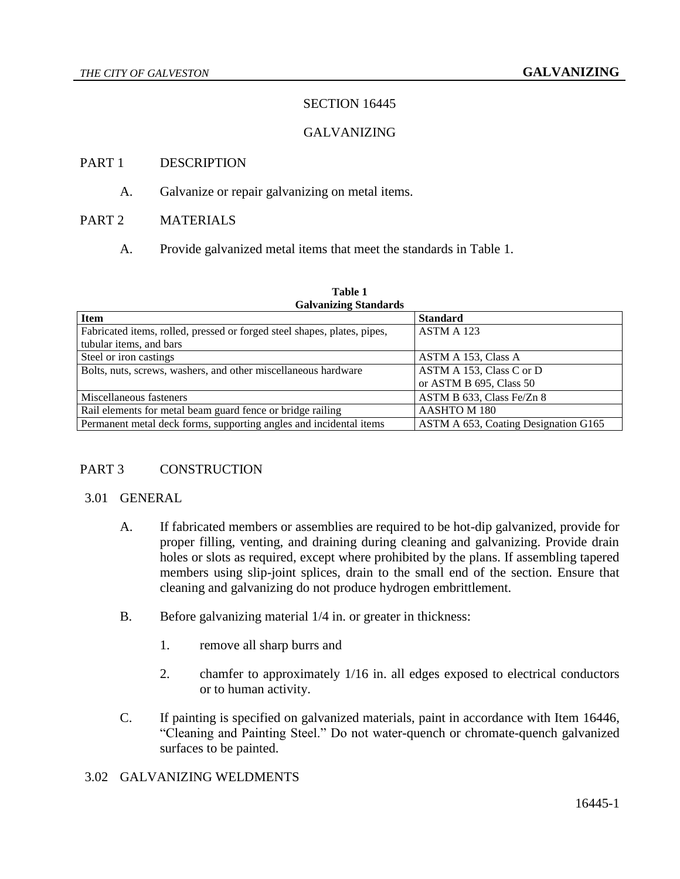# SECTION 16445

## GALVANIZING

## PART 1 DESCRIPTION

A. Galvanize or repair galvanizing on metal items.

## PART 2 MATERIALS

A. Provide galvanized metal items that meet the standards in Table 1.

| <b>Galvanizing Standards</b>                                             |                                      |
|--------------------------------------------------------------------------|--------------------------------------|
| <b>Item</b>                                                              | <b>Standard</b>                      |
| Fabricated items, rolled, pressed or forged steel shapes, plates, pipes, | ASTM A 123                           |
| tubular items, and bars                                                  |                                      |
| Steel or iron castings                                                   | ASTM A 153, Class A                  |
| Bolts, nuts, screws, washers, and other miscellaneous hardware           | ASTM A 153, Class C or D             |
|                                                                          | or ASTM B 695, Class 50              |
| Miscellaneous fasteners                                                  | ASTM B 633, Class Fe/Zn 8            |
| Rail elements for metal beam guard fence or bridge railing               | AASHTO M 180                         |
| Permanent metal deck forms, supporting angles and incidental items       | ASTM A 653, Coating Designation G165 |

# **Table 1**

# PART 3 CONSTRUCTION

#### 3.01 GENERAL

- A. If fabricated members or assemblies are required to be hot-dip galvanized, provide for proper filling, venting, and draining during cleaning and galvanizing. Provide drain holes or slots as required, except where prohibited by the plans. If assembling tapered members using slip-joint splices, drain to the small end of the section. Ensure that cleaning and galvanizing do not produce hydrogen embrittlement.
- B. Before galvanizing material 1/4 in. or greater in thickness:
	- 1. remove all sharp burrs and
	- 2. chamfer to approximately 1/16 in. all edges exposed to electrical conductors or to human activity.
- C. If painting is specified on galvanized materials, paint in accordance with Item 16446, "Cleaning and Painting Steel." Do not water-quench or chromate-quench galvanized surfaces to be painted.

#### 3.02 GALVANIZING WELDMENTS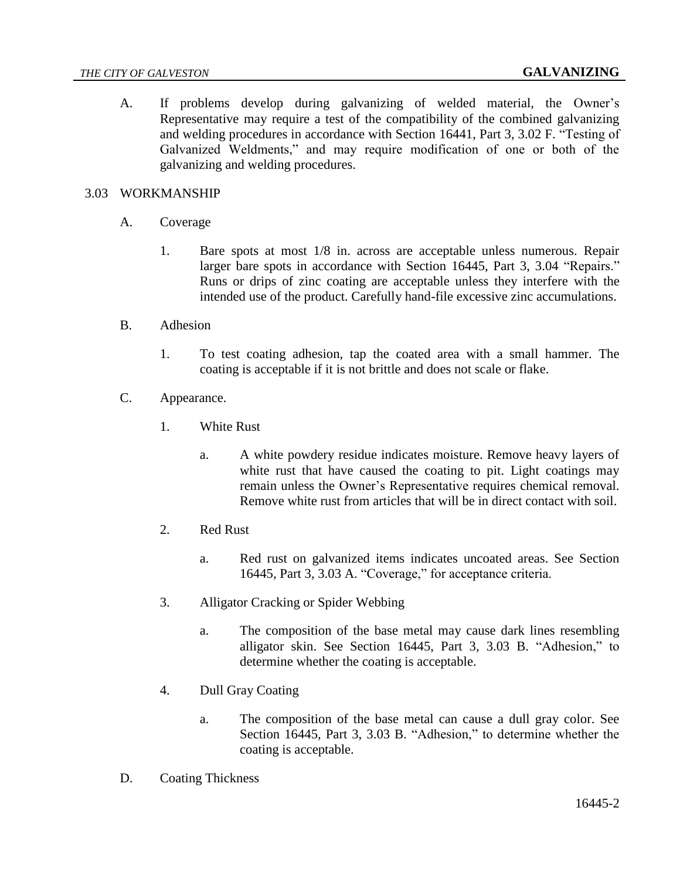A. If problems develop during galvanizing of welded material, the Owner's Representative may require a test of the compatibility of the combined galvanizing and welding procedures in accordance with Section 16441, Part 3, 3.02 F. "Testing of Galvanized Weldments," and may require modification of one or both of the galvanizing and welding procedures.

### 3.03 WORKMANSHIP

- A. Coverage
	- 1. Bare spots at most 1/8 in. across are acceptable unless numerous. Repair larger bare spots in accordance with Section 16445, Part 3, 3.04 "Repairs." Runs or drips of zinc coating are acceptable unless they interfere with the intended use of the product. Carefully hand-file excessive zinc accumulations.
- B. Adhesion
	- 1. To test coating adhesion, tap the coated area with a small hammer. The coating is acceptable if it is not brittle and does not scale or flake.
- C. Appearance.
	- 1. White Rust
		- a. A white powdery residue indicates moisture. Remove heavy layers of white rust that have caused the coating to pit. Light coatings may remain unless the Owner's Representative requires chemical removal. Remove white rust from articles that will be in direct contact with soil.
	- 2. Red Rust
		- a. Red rust on galvanized items indicates uncoated areas. See Section 16445, Part 3, 3.03 A. "Coverage," for acceptance criteria.
	- 3. Alligator Cracking or Spider Webbing
		- a. The composition of the base metal may cause dark lines resembling alligator skin. See Section 16445, Part 3, 3.03 B. "Adhesion," to determine whether the coating is acceptable.
	- 4. Dull Gray Coating
		- a. The composition of the base metal can cause a dull gray color. See Section 16445, Part 3, 3.03 B. "Adhesion," to determine whether the coating is acceptable.
- D. Coating Thickness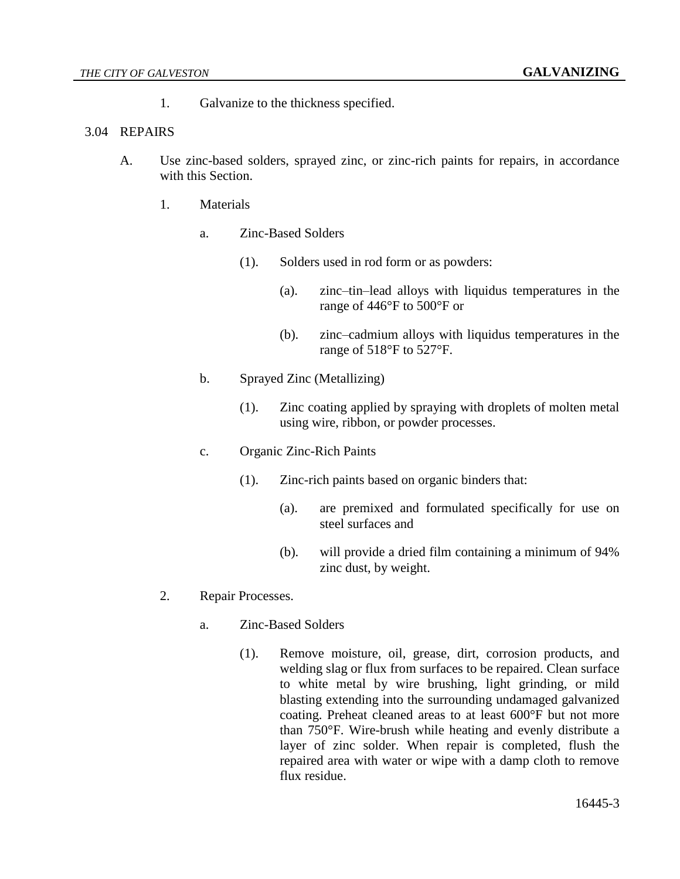1. Galvanize to the thickness specified.

## 3.04 REPAIRS

- A. Use zinc-based solders, sprayed zinc, or zinc-rich paints for repairs, in accordance with this Section.
	- 1. Materials
		- a. Zinc-Based Solders
			- (1). Solders used in rod form or as powders:
				- (a). zinc–tin–lead alloys with liquidus temperatures in the range of 446°F to 500°F or
				- (b). zinc–cadmium alloys with liquidus temperatures in the range of 518°F to 527°F.
		- b. Sprayed Zinc (Metallizing)
			- (1). Zinc coating applied by spraying with droplets of molten metal using wire, ribbon, or powder processes.
		- c. Organic Zinc-Rich Paints
			- (1). Zinc-rich paints based on organic binders that:
				- (a). are premixed and formulated specifically for use on steel surfaces and
				- (b). will provide a dried film containing a minimum of 94% zinc dust, by weight.
	- 2. Repair Processes.
		- a. Zinc-Based Solders
			- (1). Remove moisture, oil, grease, dirt, corrosion products, and welding slag or flux from surfaces to be repaired. Clean surface to white metal by wire brushing, light grinding, or mild blasting extending into the surrounding undamaged galvanized coating. Preheat cleaned areas to at least 600°F but not more than 750°F. Wire-brush while heating and evenly distribute a layer of zinc solder. When repair is completed, flush the repaired area with water or wipe with a damp cloth to remove flux residue.